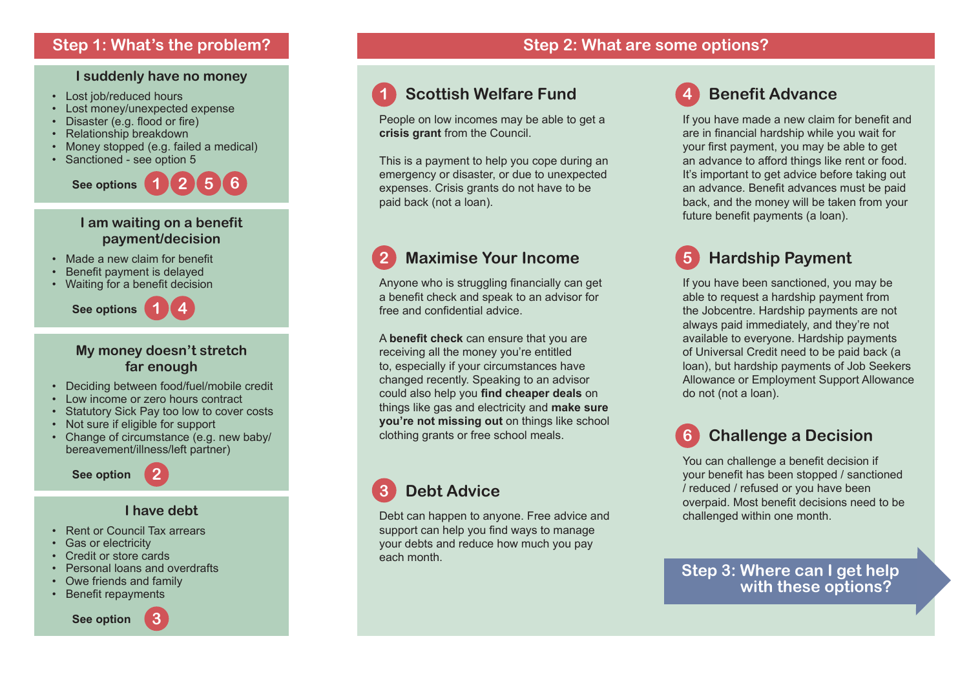#### **I suddenly have no money**

- Lost job/reduced hours
- Lost money/unexpected expense
- Disaster (e.g. flood or fire)
- Relationship breakdown
- Money stopped (e.g. failed a medical)
- Sanctioned see option 5



#### **I am waiting on a benefit payment/decision**

- Made a new claim for benefit
- Benefit payment is delayed
- Waiting for a benefit decision



#### **My money doesn't stretch far enough**

- Deciding between food/fuel/mobile credit
- Low income or zero hours contract
- Statutory Sick Pay too low to cover costs
- Not sure if eligible for support
- Change of circumstance (e.g. new baby/ bereavement/illness/left partner)

**See option**

#### **I have debt**

**2**

- Rent or Council Tax arrears
- Gas or electricity
- Credit or store cards
- Personal loans and overdrafts
- Owe friends and family
- Benefit repayments







## **1 Scottish Welfare Fund**

People on low incomes may be able to get a **crisis grant** from the Council.

This is a payment to help you cope during an emergency or disaster, or due to unexpected expenses. Crisis grants do not have to be paid back (not a loan).

## **2 Maximise Your Income**

Anyone who is struggling financially can get a benefit check and speak to an advisor for free and confidential advice.

A **benefit check** can ensure that you are receiving all the money you're entitled to, especially if your circumstances have changed recently. Speaking to an advisor could also help you **find cheaper deals** on things like gas and electricity and **make sure you're not missing out** on things like school clothing grants or free school meals.

## **3 Debt Advice**

Debt can happen to anyone. Free advice and support can help you find ways to manage your debts and reduce how much you pay each month.

## **4 Benefit Advance**

If you have made a new claim for benefit and are in financial hardship while you wait for your first payment, you may be able to get an advance to afford things like rent or food. It's important to get advice before taking out an advance. Benefit advances must be paid back, and the money will be taken from your future benefit payments (a loan).

## **5 Hardship Payment**

If you have been sanctioned, you may be able to request a hardship payment from the Jobcentre. Hardship payments are not always paid immediately, and they're not available to everyone. Hardship payments of Universal Credit need to be paid back (a loan), but hardship payments of Job Seekers Allowance or Employment Support Allowance do not (not a loan).

## **6 Challenge a Decision**

You can challenge a benefit decision if your benefit has been stopped / sanctioned / reduced / refused or you have been overpaid. Most benefit decisions need to be challenged within one month.

**Step 3: Where can I get help with these options?**